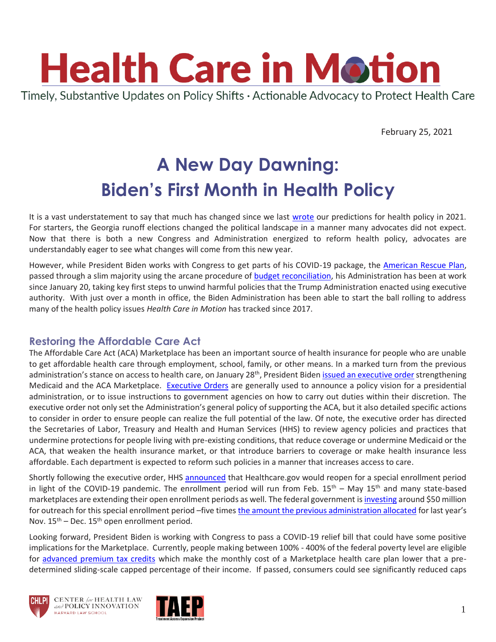

February 25, 2021

# **A New Day Dawning: Biden's First Month in Health Policy**

It is a vast understatement to say that much has changed since we last [wrote](https://www.chlpi.org/wp-content/uploads/2013/12/HCIM_12_14_20.pdf) our predictions for health policy in 2021. For starters, the Georgia runoff elections changed the political landscape in a manner many advocates did not expect. Now that there is both a new Congress and Administration energized to reform health policy, advocates are understandably eager to see what changes will come from this new year.

However, while President Biden works with Congress to get parts of his COVID-19 package, the [American Rescue Plan,](https://www.whitehouse.gov/briefing-room/legislation/2021/01/20/president-biden-announces-american-rescue-plan/) passed through a slim majority using the arcane procedure of **budget reconciliation**, his Administration has been at work since January 20, taking key first steps to unwind harmful policies that the Trump Administration enacted using executive authority. With just over a month in office, the Biden Administration has been able to start the ball rolling to address many of the health policy issues *Health Care in Motion* has tracked since 2017.

## **Restoring the Affordable Care Act**

The Affordable Care Act (ACA) Marketplace has been an important source of health insurance for people who are unable to get affordable health care through employment, school, family, or other means. In a marked turn from the previous administration's stance on access to health care, on January 28<sup>th</sup>, President Biden [issued an executive order](https://www.whitehouse.gov/briefing-room/presidential-actions/2021/01/28/executive-order-on-strengthening-medicaid-and-the-affordable-care-act/) strengthening Medicaid and the ACA Marketplace. [Executive Orders](https://megaphone.link/NCC2765838237) are generally used to announce a policy vision for a presidential administration, or to issue instructions to government agencies on how to carry out duties within their discretion. The executive order not only set the Administration's general policy of supporting the ACA, but it also detailed specific actions to consider in order to ensure people can realize the full potential of the law. Of note, the executive order has directed the Secretaries of Labor, Treasury and Health and Human Services (HHS) to review agency policies and practices that undermine protections for people living with pre-existing conditions, that reduce coverage or undermine Medicaid or the ACA, that weaken the health insurance market, or that introduce barriers to coverage or make health insurance less affordable. Each department is expected to reform such policies in a manner that increases access to care.

Shortly following the executive order, HHS [announced](https://www.hhs.gov/about/news/2021/01/28/hhs-announces-marketplace-special-enrollment-period-for-covid-19-public-health-emergency.html) that Healthcare.gov would reopen for a special enrollment period in light of the COVID-19 pandemic. The enrollment period will run from Feb.  $15<sup>th</sup>$  – May  $15<sup>th</sup>$  and many state-based marketplaces are extending their open enrollment periods as well. The federal government is [investing](https://www.cms.gov/newsroom/fact-sheets/2021-special-enrollment-period-response-covid-19-emergency) around \$50 million for outreach for this special enrollment period –five time[s the amount the previous administration allocated](https://www.cms.gov/newsroom/fact-sheets/federal-health-insurance-exchange-2021-open-enrollment) for last year's Nov.  $15^{th}$  – Dec.  $15^{th}$  open enrollment period.

Looking forward, President Biden is working with Congress to pass a COVID-19 relief bill that could have some positive implications for the Marketplace. Currently, people making between 100% - 400% of the federal poverty level are eligible for [advanced premium tax credits](https://www.healthcare.gov/glossary/advanced-premium-tax-credit/) which make the monthly cost of a Marketplace health care plan lower that a predetermined sliding-scale capped percentage of their income. If passed, consumers could see significantly reduced caps



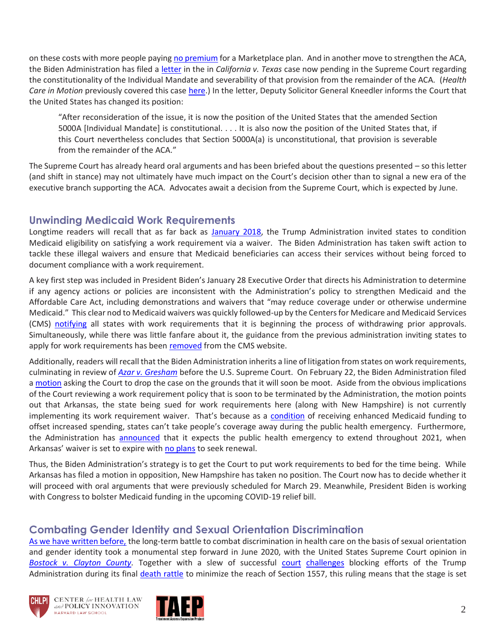on these costs with more people payin[g no premium](https://www.cbpp.org/research/health/health-provisions-in-house-relief-bill-would-improve-access-to-health-coverage) for a Marketplace plan. And in another move to strengthen the ACA, the Biden Administration has filed a [letter](https://www.supremecourt.gov/DocketPDF/19/19-840/168649/20210210151147983_19-840%2019-1019%20CA%20v%20TX.pdf) in the in *California v. Texas* case now pending in the Supreme Court regarding the constitutionality of the Individual Mandate and severability of that provision from the remainder of the ACA. (*Health Care in Motion* previously covered this case [here.](https://www.chlpi.org/wp-content/uploads/2013/12/HCIM_11_3_20.pdf)) In the letter, Deputy Solicitor General Kneedler informs the Court that the United States has changed its position:

"After reconsideration of the issue, it is now the position of the United States that the amended Section 5000A [Individual Mandate] is constitutional. . . . It is also now the position of the United States that, if this Court nevertheless concludes that Section 5000A(a) is unconstitutional, that provision is severable from the remainder of the ACA."

The Supreme Court has already heard oral arguments and has been briefed about the questions presented – so this letter (and shift in stance) may not ultimately have much impact on the Court's decision other than to signal a new era of the executive branch supporting the ACA. Advocates await a decision from the Supreme Court, which is expected by June.

#### **Unwinding Medicaid Work Requirements**

Longtime readers will recall that as far back as [January 2018,](https://www.chlpi.org/wp-content/uploads/2013/12/HCIM_01_12_2018_updated-1_17_2018.pdf) the Trump Administration invited states to condition Medicaid eligibility on satisfying a work requirement via a waiver. The Biden Administration has taken swift action to tackle these illegal waivers and ensure that Medicaid beneficiaries can access their services without being forced to document compliance with a work requirement.

A key first step was included in President Biden's January 28 Executive Order that directs his Administration to determine if any agency actions or policies are inconsistent with the Administration's policy to strengthen Medicaid and the Affordable Care Act, including demonstrations and waivers that "may reduce coverage under or otherwise undermine Medicaid." This clear nod to Medicaid waivers was quickly followed-up by the Centers for Medicare and Medicaid Services (CMS) [notifying](https://news.bloomberglaw.com/health-law-and-business/biden-health-agency-takes-first-step-to-undo-medicaid-work-rules?context=search&index=1) all states with work requirements that it is beginning the process of withdrawing prior approvals. Simultaneously, while there was little fanfare about it, the guidance from the previous administration inviting states to apply for work requirements has been [removed](https://ccf.georgetown.edu/2021/02/17/biden-administration-withdraws-medicaid-work-requirements-guidance-and-more/) from the CMS website.

Additionally, readers will recall that the Biden Administration inherits a line of litigation from states on work requirements, culminating in review of *[Azar v. Gresham](https://www.scotusblog.com/2020/12/justices-agree-to-review-legality-of-medicaid-work-requirements/)* before the U.S. Supreme Court. On February 22, the Biden Administration filed [a motion](https://www.supremecourt.gov/DocketPDF/20/20-37/169593/20210222160024769_20-37%20%2020-38%20-%20Gresham%20-Merits%20-%20Motion%20to%20Vacate.pdf) asking the Court to drop the case on the grounds that it will soon be moot. Aside from the obvious implications of the Court reviewing a work requirement policy that is soon to be terminated by the Administration, the motion points out that Arkansas, the state being sued for work requirements here (along with New Hampshire) is not currently implementing its work requirement waiver. That's because as a [condition](https://www.cbpp.org/blog/medicaid-maintenance-of-effort-protections-crucial-to-preserving-coverage) of receiving enhanced Medicaid funding to offset increased spending, states can't take people's coverage away during the public health emergency. Furthermore, the Administration has [announced](https://www.himss.org/news/hhs-signals-intent-extend-public-health-emergency-period-through-entirety-2021) that it expects the public health emergency to extend throughout 2021, when Arkansas' waiver is set to expire wit[h no plans](https://arktimes.com/arkansas-blog/2021/02/17/after-biden-nixes-work-requirements-arkansas-explores-new-path-forward-for-medicaid-expansion) to seek renewal.

Thus, the Biden Administration's strategy is to get the Court to put work requirements to bed for the time being. While Arkansas has filed a motion in opposition, New Hampshire has taken no position. The Court now has to decide whether it will proceed with oral arguments that were previously scheduled for March 29. Meanwhile, President Biden is working with Congress to bolster Medicaid funding in the upcoming COVID-19 relief bill.

#### **Combating Gender Identity and Sexual Orientation Discrimination**

[As we have written before,](https://www.chlpi.org/wp-content/uploads/2013/12/HCIM_6_25_20_2020-06-25_19-40.pdf) the long-term battle to combat discrimination in health care on the basis of sexual orientation and gender identity took a monumental step forward in June 2020, with the United States Supreme Court opinion in *[Bostock v. Clayton County.](https://www.supremecourt.gov/opinions/19pdf/17-1618_hfci.pdf)* Together with a slew of successful [court](https://www.lambdalegal.org/in-court/cases/whitman-walker-clinic-v-hhs) [challenges](https://www.thebody.com/article/nyc-trans-warriors-cecilia-gentili-tanya-asapansa-walker-anti-trans-health-care-rule) blocking efforts of the Trump Administration during its final [death rattle](https://images.app.goo.gl/cfwEBwheZv46EpBF9) to minimize the reach of Section 1557, this ruling means that the stage is set